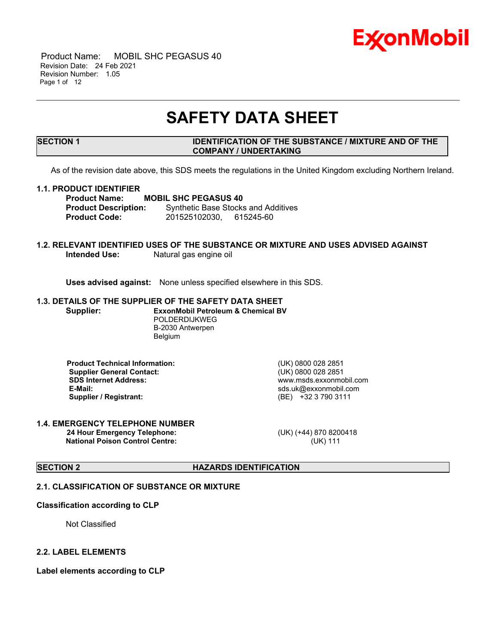

 Product Name: MOBIL SHC PEGASUS 40 Revision Date: 24 Feb 2021 Revision Number: 1.05 Page 1 of 12

## **SAFETY DATA SHEET**

\_\_\_\_\_\_\_\_\_\_\_\_\_\_\_\_\_\_\_\_\_\_\_\_\_\_\_\_\_\_\_\_\_\_\_\_\_\_\_\_\_\_\_\_\_\_\_\_\_\_\_\_\_\_\_\_\_\_\_\_\_\_\_\_\_\_\_\_\_\_\_\_\_\_\_\_\_\_\_\_\_\_\_\_\_\_\_\_\_\_\_\_\_\_\_\_\_\_\_\_\_\_\_\_\_\_\_\_\_\_\_\_\_\_\_\_\_

#### **SECTION 1 IDENTIFICATION OF THE SUBSTANCE / MIXTURE AND OF THE COMPANY / UNDERTAKING**

As of the revision date above, this SDS meets the regulations in the United Kingdom excluding Northern Ireland.

#### **1.1. PRODUCT IDENTIFIER**

**Product Name: MOBIL SHC PEGASUS 40 Product Description:** Synthetic Base Stocks and Additives **Product Code:** 201525102030, 615245-60

#### **1.2. RELEVANT IDENTIFIED USES OF THE SUBSTANCE OR MIXTURE AND USES ADVISED AGAINST**<br>Intended Use: Matural gas engine oil **Natural gas engine oil**

**Uses advised against:** None unless specified elsewhere in this SDS.

#### **1.3. DETAILS OF THE SUPPLIER OF THE SAFETY DATA SHEET Supplier: ExxonMobil Petroleum & Chemical BV** POLDERDIJKWEG

B-2030 Antwerpen Belgium

 **Product Technical Information:** (UK) 0800 028 2851 **Supplier General Contact:** (UK) 0800 028 2851<br> **SDS Internet Address:** (UK) 0800 028 2851  **SDS Internet Address:** www.msds.exxonmobil.com  **Supplier / Registrant:** (BE) +32 3 790 3111

 **E-Mail:** sds.uk@exxonmobil.com

#### **1.4. EMERGENCY TELEPHONE NUMBER 24 Hour Emergency Telephone:** (UK) (+44) 870 8200418 **National Poison Control Centre:** (UK) 111

### **SECTION 2 HAZARDS IDENTIFICATION**

#### **2.1. CLASSIFICATION OF SUBSTANCE OR MIXTURE**

#### **Classification according to CLP**

Not Classified

#### **2.2. LABEL ELEMENTS**

**Label elements according to CLP**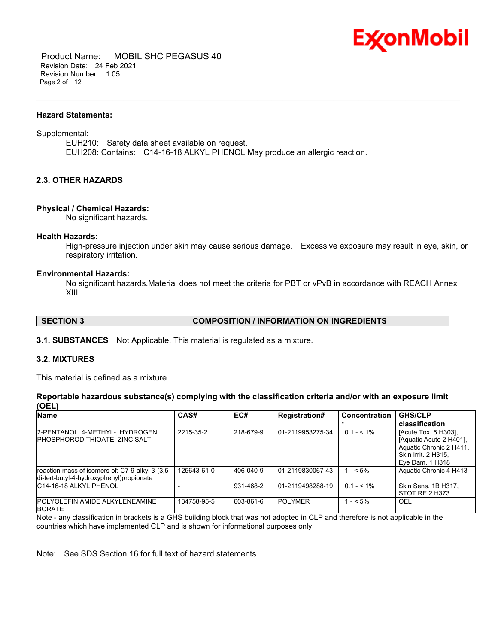

 Product Name: MOBIL SHC PEGASUS 40 Revision Date: 24 Feb 2021 Revision Number: 1.05 Page 2 of 12

#### **Hazard Statements:**

Supplemental:

EUH210: Safety data sheet available on request. EUH208: Contains: C14-16-18 ALKYL PHENOL May produce an allergic reaction.

\_\_\_\_\_\_\_\_\_\_\_\_\_\_\_\_\_\_\_\_\_\_\_\_\_\_\_\_\_\_\_\_\_\_\_\_\_\_\_\_\_\_\_\_\_\_\_\_\_\_\_\_\_\_\_\_\_\_\_\_\_\_\_\_\_\_\_\_\_\_\_\_\_\_\_\_\_\_\_\_\_\_\_\_\_\_\_\_\_\_\_\_\_\_\_\_\_\_\_\_\_\_\_\_\_\_\_\_\_\_\_\_\_\_\_\_\_

#### **2.3. OTHER HAZARDS**

#### **Physical / Chemical Hazards:**

No significant hazards.

#### **Health Hazards:**

High-pressure injection under skin may cause serious damage. Excessive exposure may result in eye, skin, or respiratory irritation.

#### **Environmental Hazards:**

No significant hazards.Material does not meet the criteria for PBT or vPvB in accordance with REACH Annex XIII.

#### **SECTION 3 COMPOSITION / INFORMATION ON INGREDIENTS**

**3.1. SUBSTANCES** Not Applicable. This material is regulated as a mixture.

#### **3.2. MIXTURES**

This material is defined as a mixture.

#### **Reportable hazardous substance(s) complying with the classification criteria and/or with an exposure limit (OEL)**

| <b>Name</b>                                                                                 | CAS#        | EC#       | <b>Registration#</b> | Concentration | <b>GHS/CLP</b>                                                                                                       |
|---------------------------------------------------------------------------------------------|-------------|-----------|----------------------|---------------|----------------------------------------------------------------------------------------------------------------------|
|                                                                                             |             |           |                      |               | classification                                                                                                       |
| 2-PENTANOL, 4-METHYL-, HYDROGEN<br><b>IPHOSPHORODITHIOATE, ZINC SALT</b>                    | 2215-35-2   | 218-679-9 | 01-2119953275-34     | $0.1 - 5.1\%$ | [Acute Tox. 5 H303].<br>[Aquatic Acute 2 H401].<br>Aquatic Chronic 2 H411,<br>Skin Irrit. 2 H315.<br>Eve Dam. 1 H318 |
| reaction mass of isomers of: C7-9-alkyl 3-(3,5-<br>di-tert-butyl-4-hydroxyphenyl)propionate | 125643-61-0 | 406-040-9 | 01-2119830067-43     | $1 - 5\%$     | Aquatic Chronic 4 H413                                                                                               |
| IC14-16-18 ALKYL PHENOL                                                                     |             | 931-468-2 | 01-2119498288-19     | $0.1 - 5.1\%$ | Skin Sens. 1B H317,<br>STOT RE 2 H373                                                                                |
| <b>IPOLYOLEFIN AMIDE ALKYLENEAMINE</b><br><b>BORATE</b>                                     | 134758-95-5 | 603-861-6 | <b>POLYMER</b>       | $1 - 5\%$     | OEL                                                                                                                  |

Note - any classification in brackets is a GHS building block that was not adopted in CLP and therefore is not applicable in the countries which have implemented CLP and is shown for informational purposes only.

Note: See SDS Section 16 for full text of hazard statements.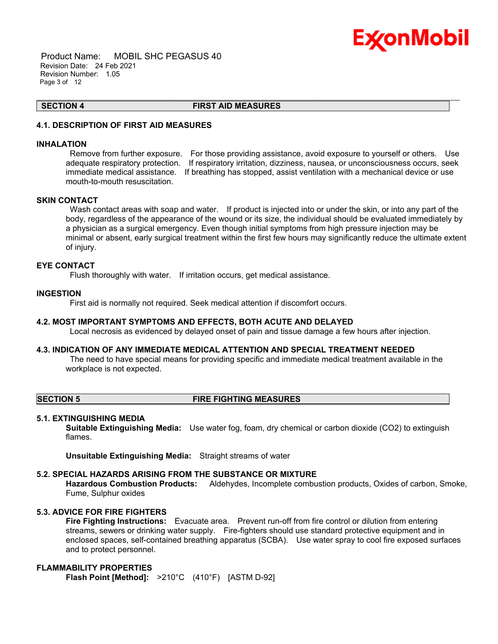

 Product Name: MOBIL SHC PEGASUS 40 Revision Date: 24 Feb 2021 Revision Number: 1.05 Page 3 of 12

**SECTION 4 FIRST AID MEASURES**

\_\_\_\_\_\_\_\_\_\_\_\_\_\_\_\_\_\_\_\_\_\_\_\_\_\_\_\_\_\_\_\_\_\_\_\_\_\_\_\_\_\_\_\_\_\_\_\_\_\_\_\_\_\_\_\_\_\_\_\_\_\_\_\_\_\_\_\_\_\_\_\_\_\_\_\_\_\_\_\_\_\_\_\_\_\_\_\_\_\_\_\_\_\_\_\_\_\_\_\_\_\_\_\_\_\_\_\_\_\_\_\_\_\_\_\_\_

### **4.1. DESCRIPTION OF FIRST AID MEASURES**

#### **INHALATION**

 Remove from further exposure. For those providing assistance, avoid exposure to yourself or others. Use adequate respiratory protection. If respiratory irritation, dizziness, nausea, or unconsciousness occurs, seek immediate medical assistance. If breathing has stopped, assist ventilation with a mechanical device or use mouth-to-mouth resuscitation.

#### **SKIN CONTACT**

Wash contact areas with soap and water. If product is injected into or under the skin, or into any part of the body, regardless of the appearance of the wound or its size, the individual should be evaluated immediately by a physician as a surgical emergency. Even though initial symptoms from high pressure injection may be minimal or absent, early surgical treatment within the first few hours may significantly reduce the ultimate extent of injury.

#### **EYE CONTACT**

Flush thoroughly with water. If irritation occurs, get medical assistance.

#### **INGESTION**

First aid is normally not required. Seek medical attention if discomfort occurs.

#### **4.2. MOST IMPORTANT SYMPTOMS AND EFFECTS, BOTH ACUTE AND DELAYED**

Local necrosis as evidenced by delayed onset of pain and tissue damage a few hours after injection.

#### **4.3. INDICATION OF ANY IMMEDIATE MEDICAL ATTENTION AND SPECIAL TREATMENT NEEDED**

 The need to have special means for providing specific and immediate medical treatment available in the workplace is not expected.

#### **SECTION 5 FIRE FIGHTING MEASURES**

#### **5.1. EXTINGUISHING MEDIA**

**Suitable Extinguishing Media:** Use water fog, foam, dry chemical or carbon dioxide (CO2) to extinguish flames.

**Unsuitable Extinguishing Media:** Straight streams of water

### **5.2. SPECIAL HAZARDS ARISING FROM THE SUBSTANCE OR MIXTURE**

**Hazardous Combustion Products:** Aldehydes, Incomplete combustion products, Oxides of carbon, Smoke, Fume, Sulphur oxides

### **5.3. ADVICE FOR FIRE FIGHTERS**

**Fire Fighting Instructions:** Evacuate area. Prevent run-off from fire control or dilution from entering streams, sewers or drinking water supply. Fire-fighters should use standard protective equipment and in enclosed spaces, self-contained breathing apparatus (SCBA). Use water spray to cool fire exposed surfaces and to protect personnel.

### **FLAMMABILITY PROPERTIES**

**Flash Point [Method]:** >210°C (410°F) [ASTM D-92]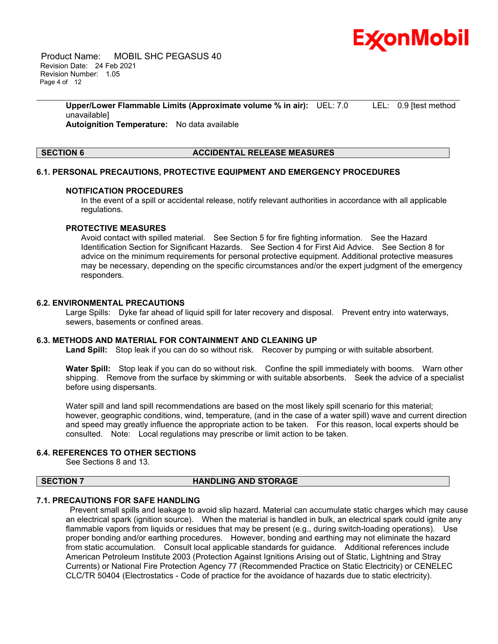

 Product Name: MOBIL SHC PEGASUS 40 Revision Date: 24 Feb 2021 Revision Number: 1.05 Page 4 of 12

> **Upper/Lower Flammable Limits (Approximate volume % in air):** UEL: 7.0 LEL: 0.9 [test method unavailable] **Autoignition Temperature:** No data available

\_\_\_\_\_\_\_\_\_\_\_\_\_\_\_\_\_\_\_\_\_\_\_\_\_\_\_\_\_\_\_\_\_\_\_\_\_\_\_\_\_\_\_\_\_\_\_\_\_\_\_\_\_\_\_\_\_\_\_\_\_\_\_\_\_\_\_\_\_\_\_\_\_\_\_\_\_\_\_\_\_\_\_\_\_\_\_\_\_\_\_\_\_\_\_\_\_\_\_\_\_\_\_\_\_\_\_\_\_\_\_\_\_\_\_\_\_

#### **SECTION 6 ACCIDENTAL RELEASE MEASURES**

#### **6.1. PERSONAL PRECAUTIONS, PROTECTIVE EQUIPMENT AND EMERGENCY PROCEDURES**

#### **NOTIFICATION PROCEDURES**

In the event of a spill or accidental release, notify relevant authorities in accordance with all applicable regulations.

#### **PROTECTIVE MEASURES**

Avoid contact with spilled material. See Section 5 for fire fighting information. See the Hazard Identification Section for Significant Hazards. See Section 4 for First Aid Advice. See Section 8 for advice on the minimum requirements for personal protective equipment. Additional protective measures may be necessary, depending on the specific circumstances and/or the expert judgment of the emergency responders.

#### **6.2. ENVIRONMENTAL PRECAUTIONS**

Large Spills: Dyke far ahead of liquid spill for later recovery and disposal. Prevent entry into waterways, sewers, basements or confined areas.

#### **6.3. METHODS AND MATERIAL FOR CONTAINMENT AND CLEANING UP**

**Land Spill:** Stop leak if you can do so without risk. Recover by pumping or with suitable absorbent.

Water Spill: Stop leak if you can do so without risk. Confine the spill immediately with booms. Warn other shipping. Remove from the surface by skimming or with suitable absorbents. Seek the advice of a specialist before using dispersants.

Water spill and land spill recommendations are based on the most likely spill scenario for this material; however, geographic conditions, wind, temperature, (and in the case of a water spill) wave and current direction and speed may greatly influence the appropriate action to be taken. For this reason, local experts should be consulted. Note: Local regulations may prescribe or limit action to be taken.

#### **6.4. REFERENCES TO OTHER SECTIONS**

See Sections 8 and 13.

#### **SECTION 7 HANDLING AND STORAGE**

### **7.1. PRECAUTIONS FOR SAFE HANDLING**

 Prevent small spills and leakage to avoid slip hazard. Material can accumulate static charges which may cause an electrical spark (ignition source). When the material is handled in bulk, an electrical spark could ignite any flammable vapors from liquids or residues that may be present (e.g., during switch-loading operations). Use proper bonding and/or earthing procedures. However, bonding and earthing may not eliminate the hazard from static accumulation. Consult local applicable standards for guidance. Additional references include American Petroleum Institute 2003 (Protection Against Ignitions Arising out of Static, Lightning and Stray Currents) or National Fire Protection Agency 77 (Recommended Practice on Static Electricity) or CENELEC CLC/TR 50404 (Electrostatics - Code of practice for the avoidance of hazards due to static electricity).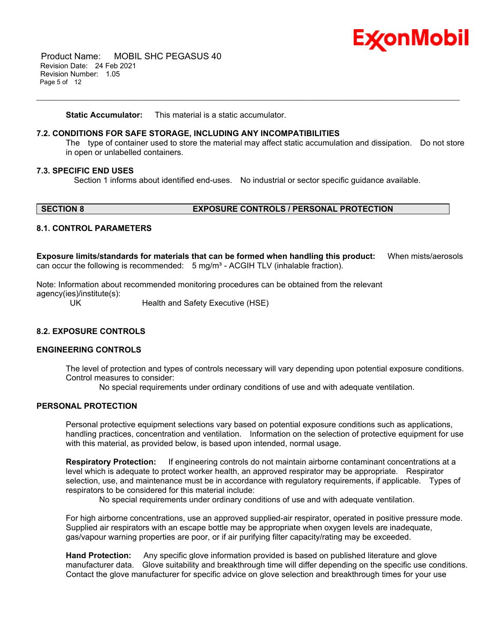

 Product Name: MOBIL SHC PEGASUS 40 Revision Date: 24 Feb 2021 Revision Number: 1.05 Page 5 of 12

**Static Accumulator:** This material is a static accumulator.

#### **7.2. CONDITIONS FOR SAFE STORAGE, INCLUDING ANY INCOMPATIBILITIES**

The type of container used to store the material may affect static accumulation and dissipation. Do not store in open or unlabelled containers.

#### **7.3. SPECIFIC END USES**

Section 1 informs about identified end-uses. No industrial or sector specific guidance available.

\_\_\_\_\_\_\_\_\_\_\_\_\_\_\_\_\_\_\_\_\_\_\_\_\_\_\_\_\_\_\_\_\_\_\_\_\_\_\_\_\_\_\_\_\_\_\_\_\_\_\_\_\_\_\_\_\_\_\_\_\_\_\_\_\_\_\_\_\_\_\_\_\_\_\_\_\_\_\_\_\_\_\_\_\_\_\_\_\_\_\_\_\_\_\_\_\_\_\_\_\_\_\_\_\_\_\_\_\_\_\_\_\_\_\_\_\_

#### **SECTION 8 EXPOSURE CONTROLS / PERSONAL PROTECTION**

#### **8.1. CONTROL PARAMETERS**

**Exposure limits/standards for materials that can be formed when handling this product:** When mists/aerosols can occur the following is recommended:  $5 \text{ mg/m}^3$  - ACGIH TLV (inhalable fraction).

Note: Information about recommended monitoring procedures can be obtained from the relevant agency(ies)/institute(s):

UK Health and Safety Executive (HSE)

#### **8.2. EXPOSURE CONTROLS**

### **ENGINEERING CONTROLS**

The level of protection and types of controls necessary will vary depending upon potential exposure conditions. Control measures to consider:

No special requirements under ordinary conditions of use and with adequate ventilation.

#### **PERSONAL PROTECTION**

Personal protective equipment selections vary based on potential exposure conditions such as applications, handling practices, concentration and ventilation. Information on the selection of protective equipment for use with this material, as provided below, is based upon intended, normal usage.

**Respiratory Protection:** If engineering controls do not maintain airborne contaminant concentrations at a level which is adequate to protect worker health, an approved respirator may be appropriate. Respirator selection, use, and maintenance must be in accordance with regulatory requirements, if applicable. Types of respirators to be considered for this material include:

No special requirements under ordinary conditions of use and with adequate ventilation.

For high airborne concentrations, use an approved supplied-air respirator, operated in positive pressure mode. Supplied air respirators with an escape bottle may be appropriate when oxygen levels are inadequate, gas/vapour warning properties are poor, or if air purifying filter capacity/rating may be exceeded.

**Hand Protection:** Any specific glove information provided is based on published literature and glove manufacturer data. Glove suitability and breakthrough time will differ depending on the specific use conditions. Contact the glove manufacturer for specific advice on glove selection and breakthrough times for your use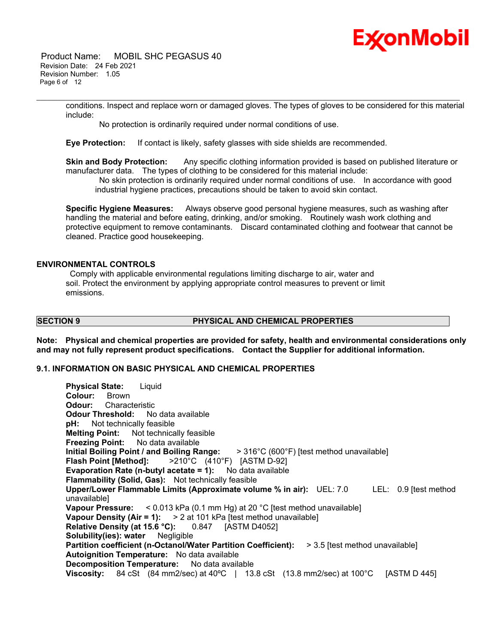# Ex⁄onMobil

 Product Name: MOBIL SHC PEGASUS 40 Revision Date: 24 Feb 2021 Revision Number: 1.05 Page 6 of 12

> conditions. Inspect and replace worn or damaged gloves. The types of gloves to be considered for this material include:

\_\_\_\_\_\_\_\_\_\_\_\_\_\_\_\_\_\_\_\_\_\_\_\_\_\_\_\_\_\_\_\_\_\_\_\_\_\_\_\_\_\_\_\_\_\_\_\_\_\_\_\_\_\_\_\_\_\_\_\_\_\_\_\_\_\_\_\_\_\_\_\_\_\_\_\_\_\_\_\_\_\_\_\_\_\_\_\_\_\_\_\_\_\_\_\_\_\_\_\_\_\_\_\_\_\_\_\_\_\_\_\_\_\_\_\_\_

No protection is ordinarily required under normal conditions of use.

**Eye Protection:** If contact is likely, safety glasses with side shields are recommended.

**Skin and Body Protection:** Any specific clothing information provided is based on published literature or manufacturer data. The types of clothing to be considered for this material include:

 No skin protection is ordinarily required under normal conditions of use. In accordance with good industrial hygiene practices, precautions should be taken to avoid skin contact.

**Specific Hygiene Measures:** Always observe good personal hygiene measures, such as washing after handling the material and before eating, drinking, and/or smoking. Routinely wash work clothing and protective equipment to remove contaminants. Discard contaminated clothing and footwear that cannot be cleaned. Practice good housekeeping.

### **ENVIRONMENTAL CONTROLS**

 Comply with applicable environmental regulations limiting discharge to air, water and soil. Protect the environment by applying appropriate control measures to prevent or limit emissions.

#### **SECTION 9 PHYSICAL AND CHEMICAL PROPERTIES**

**Note: Physical and chemical properties are provided for safety, health and environmental considerations only and may not fully represent product specifications. Contact the Supplier for additional information.**

### **9.1. INFORMATION ON BASIC PHYSICAL AND CHEMICAL PROPERTIES**

| <b>Physical State:</b> Liquid                                                                                   |  |  |  |
|-----------------------------------------------------------------------------------------------------------------|--|--|--|
| <b>Colour:</b> Brown                                                                                            |  |  |  |
| <b>Odour:</b> Characteristic                                                                                    |  |  |  |
| <b>Odour Threshold:</b> No data available                                                                       |  |  |  |
| <b>pH:</b> Not technically feasible                                                                             |  |  |  |
| <b>Melting Point:</b> Not technically feasible                                                                  |  |  |  |
| <b>Freezing Point:</b> No data available                                                                        |  |  |  |
| Initial Boiling Point / and Boiling Range: > 316°C (600°F) [test method unavailable]                            |  |  |  |
| <b>Flash Point [Method]:</b> $>210^{\circ}$ C (410°F) [ASTM D-92]                                               |  |  |  |
| <b>Evaporation Rate (n-butyl acetate = 1):</b> No data available                                                |  |  |  |
| <b>Flammability (Solid, Gas):</b> Not technically feasible                                                      |  |  |  |
| Upper/Lower Flammable Limits (Approximate volume % in air): UEL: 7.0<br>LEL: 0.9 [test method                   |  |  |  |
| unavailable]                                                                                                    |  |  |  |
| Vapour Pressure: < 0.013 kPa (0.1 mm Hg) at 20 °C [test method unavailable]                                     |  |  |  |
| Vapour Density (Air = 1): $> 2$ at 101 kPa [test method unavailable]                                            |  |  |  |
| Relative Density (at 15.6 °C): 0.847 [ASTM D4052]                                                               |  |  |  |
| <b>Solubility(ies): water</b> Negligible                                                                        |  |  |  |
| <b>Partition coefficient (n-Octanol/Water Partition Coefficient):</b><br>> 3.5 [test method unavailable]        |  |  |  |
| Autoignition Temperature: No data available                                                                     |  |  |  |
| <b>Decomposition Temperature:</b> No data available                                                             |  |  |  |
| Viscosity: 84 cSt (84 mm2/sec) at 40 $^{\circ}$ C   13.8 cSt (13.8 mm2/sec) at 100 $^{\circ}$ C<br>[ASTM D 445] |  |  |  |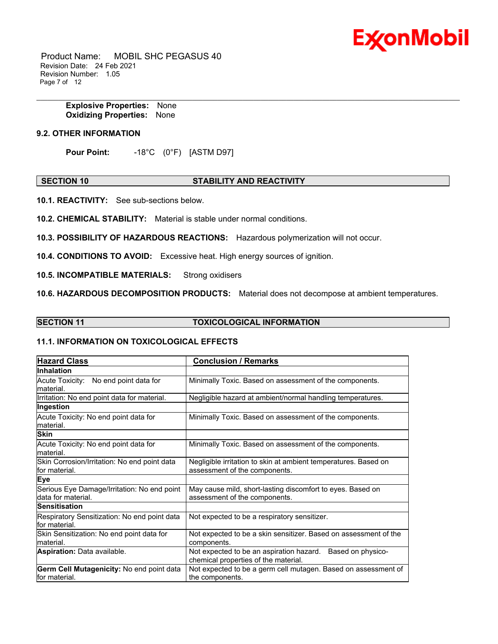

 Product Name: MOBIL SHC PEGASUS 40 Revision Date: 24 Feb 2021 Revision Number: 1.05 Page 7 of 12

> **Explosive Properties:** None **Oxidizing Properties:** None

#### **9.2. OTHER INFORMATION**

**Pour Point:** -18°C (0°F) [ASTM D97]

#### **SECTION 10 STABILITY AND REACTIVITY**

\_\_\_\_\_\_\_\_\_\_\_\_\_\_\_\_\_\_\_\_\_\_\_\_\_\_\_\_\_\_\_\_\_\_\_\_\_\_\_\_\_\_\_\_\_\_\_\_\_\_\_\_\_\_\_\_\_\_\_\_\_\_\_\_\_\_\_\_\_\_\_\_\_\_\_\_\_\_\_\_\_\_\_\_\_\_\_\_\_\_\_\_\_\_\_\_\_\_\_\_\_\_\_\_\_\_\_\_\_\_\_\_\_\_\_\_\_

**10.1. REACTIVITY:** See sub-sections below.

**10.2. CHEMICAL STABILITY:** Material is stable under normal conditions.

**10.3. POSSIBILITY OF HAZARDOUS REACTIONS:** Hazardous polymerization will not occur.

**10.4. CONDITIONS TO AVOID:** Excessive heat. High energy sources of ignition.

**10.5. INCOMPATIBLE MATERIALS:** Strong oxidisers

**10.6. HAZARDOUS DECOMPOSITION PRODUCTS:** Material does not decompose at ambient temperatures.

#### **SECTION 11 TOXICOLOGICAL INFORMATION**

#### **11.1. INFORMATION ON TOXICOLOGICAL EFFECTS**

| <b>Hazard Class</b>                                                | <b>Conclusion / Remarks</b>                                                                           |  |  |
|--------------------------------------------------------------------|-------------------------------------------------------------------------------------------------------|--|--|
| <b>Inhalation</b>                                                  |                                                                                                       |  |  |
| Acute Toxicity: No end point data for                              | Minimally Toxic. Based on assessment of the components.                                               |  |  |
| lmaterial.                                                         |                                                                                                       |  |  |
| Irritation: No end point data for material.                        | Negligible hazard at ambient/normal handling temperatures.                                            |  |  |
| Ingestion                                                          |                                                                                                       |  |  |
| Acute Toxicity: No end point data for                              | Minimally Toxic. Based on assessment of the components.                                               |  |  |
| lmaterial.                                                         |                                                                                                       |  |  |
| <b>Skin</b>                                                        |                                                                                                       |  |  |
| Acute Toxicity: No end point data for<br>lmaterial.                | Minimally Toxic. Based on assessment of the components.                                               |  |  |
| Skin Corrosion/Irritation: No end point data                       | Negligible irritation to skin at ambient temperatures. Based on                                       |  |  |
| for material.                                                      | assessment of the components.                                                                         |  |  |
| Eye                                                                |                                                                                                       |  |  |
| Serious Eye Damage/Irritation: No end point<br>ldata for material. | May cause mild, short-lasting discomfort to eyes. Based on<br>assessment of the components.           |  |  |
| <b>Sensitisation</b>                                               |                                                                                                       |  |  |
| Respiratory Sensitization: No end point data<br>lfor material.     | Not expected to be a respiratory sensitizer.                                                          |  |  |
| Skin Sensitization: No end point data for<br>lmaterial.            | Not expected to be a skin sensitizer. Based on assessment of the<br>components.                       |  |  |
| <b>Aspiration: Data available.</b>                                 | Not expected to be an aspiration hazard.<br>Based on physico-<br>chemical properties of the material. |  |  |
| Germ Cell Mutagenicity: No end point data                          | Not expected to be a germ cell mutagen. Based on assessment of                                        |  |  |
| lfor material.                                                     | the components.                                                                                       |  |  |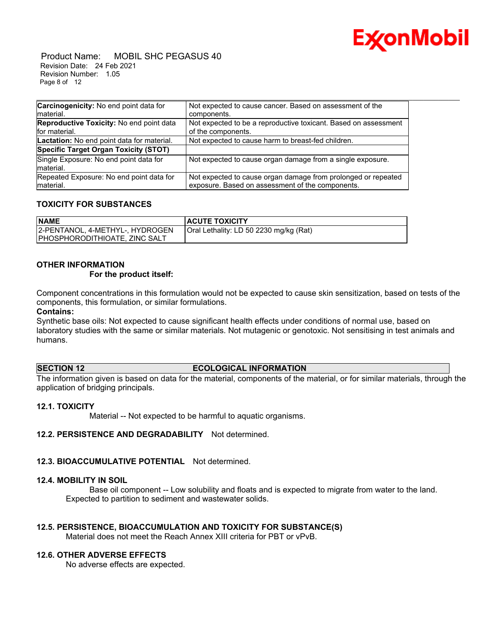

 Product Name: MOBIL SHC PEGASUS 40 Revision Date: 24 Feb 2021 Revision Number: 1.05 Page 8 of 12

| Carcinogenicity: No end point data for               | Not expected to cause cancer. Based on assessment of the        |
|------------------------------------------------------|-----------------------------------------------------------------|
| Imaterial.                                           | components.                                                     |
| <b>Reproductive Toxicity: No end point data</b>      | Not expected to be a reproductive toxicant. Based on assessment |
| lfor material.                                       | of the components.                                              |
| Lactation: No end point data for material.           | Not expected to cause harm to breast-fed children.              |
| Specific Target Organ Toxicity (STOT)                |                                                                 |
| Single Exposure: No end point data for<br>Imaterial. | Not expected to cause organ damage from a single exposure.      |
| Repeated Exposure: No end point data for             | Not expected to cause organ damage from prolonged or repeated   |
| Imaterial.                                           | exposure. Based on assessment of the components.                |

#### **TOXICITY FOR SUBSTANCES**

| <b>NAME</b>                          | <b>ACUTE TOXICITY</b>                  |
|--------------------------------------|----------------------------------------|
| 2-PENTANOL, 4-METHYL-, HYDROGEN      | Oral Lethality: LD 50 2230 mg/kg (Rat) |
| <b>PHOSPHORODITHIOATE, ZINC SALT</b> |                                        |

### **OTHER INFORMATION**

#### **For the product itself:**

Component concentrations in this formulation would not be expected to cause skin sensitization, based on tests of the components, this formulation, or similar formulations.

#### **Contains:**

Synthetic base oils: Not expected to cause significant health effects under conditions of normal use, based on laboratory studies with the same or similar materials. Not mutagenic or genotoxic. Not sensitising in test animals and humans.

#### **SECTION 12 ECOLOGICAL INFORMATION**

The information given is based on data for the material, components of the material, or for similar materials, through the application of bridging principals.

#### **12.1. TOXICITY**

Material -- Not expected to be harmful to aquatic organisms.

### **12.2. PERSISTENCE AND DEGRADABILITY** Not determined.

#### **12.3. BIOACCUMULATIVE POTENTIAL** Not determined.

#### **12.4. MOBILITY IN SOIL**

 Base oil component -- Low solubility and floats and is expected to migrate from water to the land. Expected to partition to sediment and wastewater solids.

#### **12.5. PERSISTENCE, BIOACCUMULATION AND TOXICITY FOR SUBSTANCE(S)**

Material does not meet the Reach Annex XIII criteria for PBT or vPvB.

#### **12.6. OTHER ADVERSE EFFECTS**

No adverse effects are expected.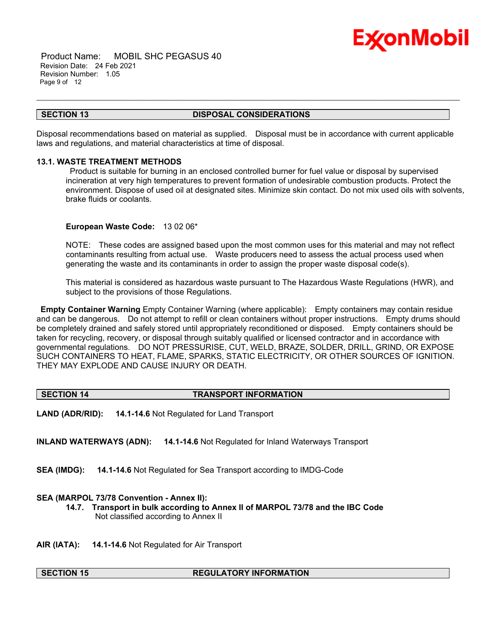

 Product Name: MOBIL SHC PEGASUS 40 Revision Date: 24 Feb 2021 Revision Number: 1.05 Page 9 of 12

#### **SECTION 13 DISPOSAL CONSIDERATIONS**

\_\_\_\_\_\_\_\_\_\_\_\_\_\_\_\_\_\_\_\_\_\_\_\_\_\_\_\_\_\_\_\_\_\_\_\_\_\_\_\_\_\_\_\_\_\_\_\_\_\_\_\_\_\_\_\_\_\_\_\_\_\_\_\_\_\_\_\_\_\_\_\_\_\_\_\_\_\_\_\_\_\_\_\_\_\_\_\_\_\_\_\_\_\_\_\_\_\_\_\_\_\_\_\_\_\_\_\_\_\_\_\_\_\_\_\_\_

Disposal recommendations based on material as supplied. Disposal must be in accordance with current applicable laws and regulations, and material characteristics at time of disposal.

#### **13.1. WASTE TREATMENT METHODS**

 Product is suitable for burning in an enclosed controlled burner for fuel value or disposal by supervised incineration at very high temperatures to prevent formation of undesirable combustion products. Protect the environment. Dispose of used oil at designated sites. Minimize skin contact. Do not mix used oils with solvents, brake fluids or coolants.

#### **European Waste Code:** 13 02 06\*

NOTE: These codes are assigned based upon the most common uses for this material and may not reflect contaminants resulting from actual use. Waste producers need to assess the actual process used when generating the waste and its contaminants in order to assign the proper waste disposal code(s).

This material is considered as hazardous waste pursuant to The Hazardous Waste Regulations (HWR), and subject to the provisions of those Regulations.

**Empty Container Warning** Empty Container Warning (where applicable): Empty containers may contain residue and can be dangerous. Do not attempt to refill or clean containers without proper instructions. Empty drums should be completely drained and safely stored until appropriately reconditioned or disposed. Empty containers should be taken for recycling, recovery, or disposal through suitably qualified or licensed contractor and in accordance with governmental regulations. DO NOT PRESSURISE, CUT, WELD, BRAZE, SOLDER, DRILL, GRIND, OR EXPOSE SUCH CONTAINERS TO HEAT, FLAME, SPARKS, STATIC ELECTRICITY, OR OTHER SOURCES OF IGNITION. THEY MAY EXPLODE AND CAUSE INJURY OR DEATH.

#### **SECTION 14 TRANSPORT INFORMATION**

**LAND (ADR/RID): 14.1-14.6** Not Regulated for Land Transport

**INLAND WATERWAYS (ADN): 14.1-14.6** Not Regulated for Inland Waterways Transport

**SEA (IMDG): 14.1-14.6** Not Regulated for Sea Transport according to IMDG-Code

#### **SEA (MARPOL 73/78 Convention - Annex II):**

**14.7. Transport in bulk according to Annex II of MARPOL 73/78 and the IBC Code** Not classified according to Annex II

**AIR (IATA): 14.1-14.6** Not Regulated for Air Transport

#### **SECTION 15 REGULATORY INFORMATION**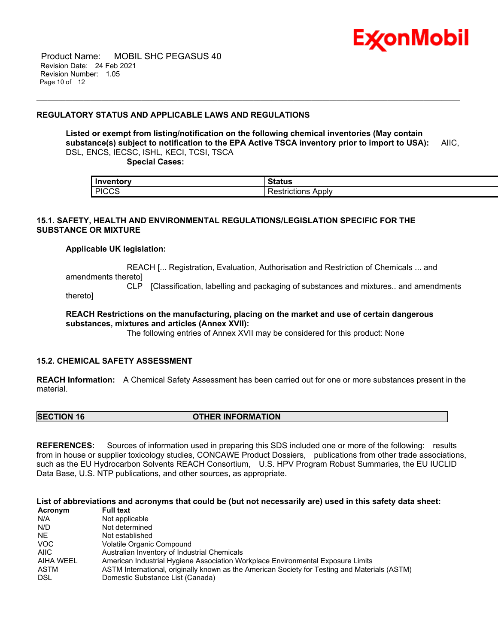

 Product Name: MOBIL SHC PEGASUS 40 Revision Date: 24 Feb 2021 Revision Number: 1.05 Page 10 of 12

#### **REGULATORY STATUS AND APPLICABLE LAWS AND REGULATIONS**

**Listed or exempt from listing/notification on the following chemical inventories (May contain substance(s) subject to notification to the EPA Active TSCA inventory prior to import to USA):** AIIC, DSL, ENCS, IECSC, ISHL, KECI, TCSI, TSCA

\_\_\_\_\_\_\_\_\_\_\_\_\_\_\_\_\_\_\_\_\_\_\_\_\_\_\_\_\_\_\_\_\_\_\_\_\_\_\_\_\_\_\_\_\_\_\_\_\_\_\_\_\_\_\_\_\_\_\_\_\_\_\_\_\_\_\_\_\_\_\_\_\_\_\_\_\_\_\_\_\_\_\_\_\_\_\_\_\_\_\_\_\_\_\_\_\_\_\_\_\_\_\_\_\_\_\_\_\_\_\_\_\_\_\_\_\_

 **Special Cases:**

| Inventory<br>--------- | Status                     |  |
|------------------------|----------------------------|--|
| <b>PICCS</b>           | _<br>Apply<br>Restrictions |  |

#### **15.1. SAFETY, HEALTH AND ENVIRONMENTAL REGULATIONS/LEGISLATION SPECIFIC FOR THE SUBSTANCE OR MIXTURE**

#### **Applicable UK legislation:**

 REACH [... Registration, Evaluation, Authorisation and Restriction of Chemicals ... and amendments thereto]

 CLP [Classification, labelling and packaging of substances and mixtures.. and amendments thereto]

#### **REACH Restrictions on the manufacturing, placing on the market and use of certain dangerous substances, mixtures and articles (Annex XVII):**

The following entries of Annex XVII may be considered for this product: None

#### **15.2. CHEMICAL SAFETY ASSESSMENT**

**REACH Information:** A Chemical Safety Assessment has been carried out for one or more substances present in the material.

**SECTION 16 OTHER INFORMATION** 

**REFERENCES:** Sources of information used in preparing this SDS included one or more of the following: results from in house or supplier toxicology studies, CONCAWE Product Dossiers, publications from other trade associations, such as the EU Hydrocarbon Solvents REACH Consortium, U.S. HPV Program Robust Summaries, the EU IUCLID Data Base, U.S. NTP publications, and other sources, as appropriate.

**List of abbreviations and acronyms that could be (but not necessarily are) used in this safety data sheet:**

| Acronym    | <b>Full text</b>                                                                              |
|------------|-----------------------------------------------------------------------------------------------|
| N/A        | Not applicable                                                                                |
| N/D        | Not determined                                                                                |
| NE.        | Not established                                                                               |
| <b>VOC</b> | Volatile Organic Compound                                                                     |
| AIIC       | Australian Inventory of Industrial Chemicals                                                  |
| AIHA WEEL  | American Industrial Hygiene Association Workplace Environmental Exposure Limits               |
| ASTM       | ASTM International, originally known as the American Society for Testing and Materials (ASTM) |
| DSL        | Domestic Substance List (Canada)                                                              |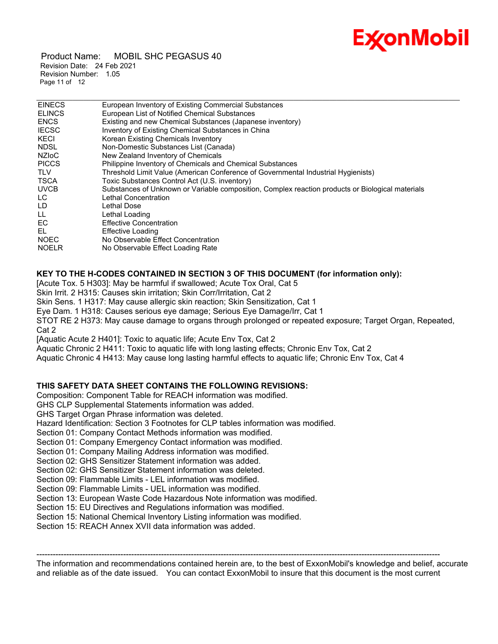## **ExconMobil**

 Product Name: MOBIL SHC PEGASUS 40 Revision Date: 24 Feb 2021 Revision Number: 1.05 Page 11 of 12

| <b>EINECS</b> | European Inventory of Existing Commercial Substances                                             |
|---------------|--------------------------------------------------------------------------------------------------|
| <b>ELINCS</b> | European List of Notified Chemical Substances                                                    |
| <b>ENCS</b>   | Existing and new Chemical Substances (Japanese inventory)                                        |
| <b>IECSC</b>  | Inventory of Existing Chemical Substances in China                                               |
| KECI          | Korean Existing Chemicals Inventory                                                              |
| <b>NDSL</b>   | Non-Domestic Substances List (Canada)                                                            |
| <b>NZIOC</b>  | New Zealand Inventory of Chemicals                                                               |
| <b>PICCS</b>  | Philippine Inventory of Chemicals and Chemical Substances                                        |
| <b>TLV</b>    | Threshold Limit Value (American Conference of Governmental Industrial Hygienists)                |
| <b>TSCA</b>   | Toxic Substances Control Act (U.S. inventory)                                                    |
| <b>UVCB</b>   | Substances of Unknown or Variable composition, Complex reaction products or Biological materials |
| LC.           | Lethal Concentration                                                                             |
| LD            | Lethal Dose                                                                                      |
| LL            | Lethal Loading                                                                                   |
| EC            | <b>Effective Concentration</b>                                                                   |
| EL            | <b>Effective Loading</b>                                                                         |
| <b>NOEC</b>   | No Observable Effect Concentration                                                               |
| <b>NOELR</b>  | No Observable Effect Loading Rate                                                                |
|               |                                                                                                  |

\_\_\_\_\_\_\_\_\_\_\_\_\_\_\_\_\_\_\_\_\_\_\_\_\_\_\_\_\_\_\_\_\_\_\_\_\_\_\_\_\_\_\_\_\_\_\_\_\_\_\_\_\_\_\_\_\_\_\_\_\_\_\_\_\_\_\_\_\_\_\_\_\_\_\_\_\_\_\_\_\_\_\_\_\_\_\_\_\_\_\_\_\_\_\_\_\_\_\_\_\_\_\_\_\_\_\_\_\_\_\_\_\_\_\_\_\_

### **KEY TO THE H-CODES CONTAINED IN SECTION 3 OF THIS DOCUMENT (for information only):**

[Acute Tox. 5 H303]: May be harmful if swallowed; Acute Tox Oral, Cat 5

Skin Irrit. 2 H315: Causes skin irritation; Skin Corr/Irritation, Cat 2

Skin Sens. 1 H317: May cause allergic skin reaction; Skin Sensitization, Cat 1

Eye Dam. 1 H318: Causes serious eye damage; Serious Eye Damage/Irr, Cat 1

STOT RE 2 H373: May cause damage to organs through prolonged or repeated exposure; Target Organ, Repeated, Cat 2

[Aquatic Acute 2 H401]: Toxic to aquatic life; Acute Env Tox, Cat 2

Aquatic Chronic 2 H411: Toxic to aquatic life with long lasting effects; Chronic Env Tox, Cat 2

Aquatic Chronic 4 H413: May cause long lasting harmful effects to aquatic life; Chronic Env Tox, Cat 4

### **THIS SAFETY DATA SHEET CONTAINS THE FOLLOWING REVISIONS:**

Composition: Component Table for REACH information was modified.

GHS CLP Supplemental Statements information was added.

GHS Target Organ Phrase information was deleted.

Hazard Identification: Section 3 Footnotes for CLP tables information was modified.

Section 01: Company Contact Methods information was modified.

Section 01: Company Emergency Contact information was modified.

Section 01: Company Mailing Address information was modified.

Section 02: GHS Sensitizer Statement information was added.

Section 02: GHS Sensitizer Statement information was deleted.

Section 09: Flammable Limits - LEL information was modified.

Section 09: Flammable Limits - UEL information was modified.

Section 13: European Waste Code Hazardous Note information was modified.

Section 15: EU Directives and Regulations information was modified.

Section 15: National Chemical Inventory Listing information was modified.

Section 15: REACH Annex XVII data information was added.

----------------------------------------------------------------------------------------------------------------------------------------------------- The information and recommendations contained herein are, to the best of ExxonMobil's knowledge and belief, accurate and reliable as of the date issued. You can contact ExxonMobil to insure that this document is the most current